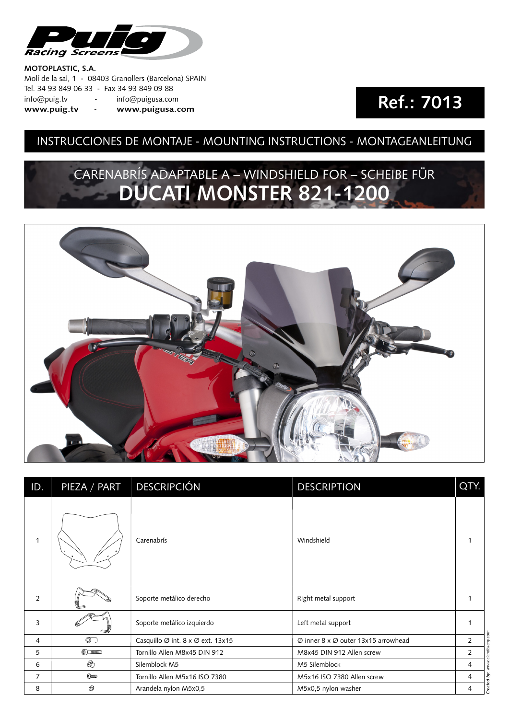

#### **MOTOPLASTIC, S.A.**

Molí de la sal, 1 - 08403 Granollers (Barcelona) SPAIN Tel. 34 93 849 06 33 - Fax 34 93 849 09 88 info@puig.tv - info@puigusa.com **www.puig.tv** - **www.puigusa.com**

## **Ref.: 7013**

### INSTRUCCIONES DE MONTAJE - MOUNTING INSTRUCTIONS - MONTAGEANLEITUNG

## CARENABRÍS ADAPTABLE A – WINDSHIELD FOR – SCHEIBE FÜR **DUCATI MONSTER 821-1200**



| ID.            | PIEZA / PART       | <b>DESCRIPCIÓN</b>                | <b>DESCRIPTION</b>                  | QTY.            |
|----------------|--------------------|-----------------------------------|-------------------------------------|-----------------|
| $\mathbf{1}$   |                    | Carenabrís                        | Windshield                          | -1              |
| 2              |                    | Soporte metálico derecho          | Right metal support                 | 1               |
| 3              | e                  | Soporte metálico izquierdo        | Left metal support                  | $\mathbf 1$     |
| 4              | $\circledcirc$     | Casquillo Ø int. 8 x Ø ext. 13x15 | Ø inner 8 x Ø outer 13x15 arrowhead | $\overline{2}$  |
| 5              | $\circledcirc$ mmm | Tornillo Allen M8x45 DIN 912      | M8x45 DIN 912 Allen screw           | 2               |
| 6              | $^{\circledR}$     | Silemblock M5                     | M5 Silemblock                       | 4               |
| $\overline{7}$ | 6 <sub>mm</sub>    | Tornillo Allen M5x16 ISO 7380     | M5x16 ISO 7380 Allen screw          | 4               |
| 8              | ◎                  | Arandela nylon M5x0,5             | M5x0,5 nylon washer                 | Created by<br>4 |